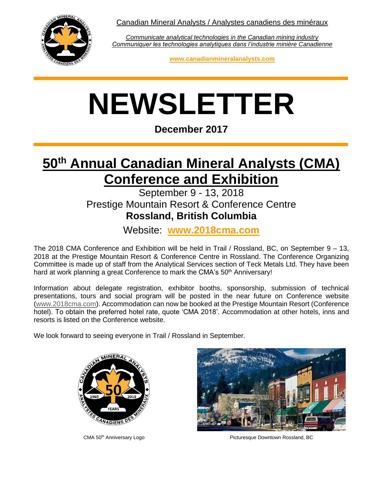Canadian Mineral Analysts / Analystes canadiens des minéraux



*Communicate analytical technologies in the Canadian mining industry Communiquer les technologies analytiques dans l'industrie minière Canadienne*

**www.canadianmineralanalysts.com**

# **NEWSLETTER**

**December 2017**

# **50th Annual Canadian Mineral Analysts (CMA) Conference and Exhibition**

#### September 9 - 13, 2018 Prestige Mountain Resort & Conference Centre **Rossland, British Columbia**

Website: **www.2018cma.com**

The 2018 CMA Conference and Exhibition will be held in Trail / Rossland, BC, on September 9 – 13, 2018 at the Prestige Mountain Resort & Conference Centre in Rossland. The Conference Organizing Committee is made up of staff from the Analytical Services section of Teck Metals Ltd. They have been hard at work planning a great Conference to mark the CMA's 50<sup>th</sup> Anniversary!

Information about delegate registration, exhibitor booths, sponsorship, submission of technical presentations, tours and social program will be posted in the near future on Conference website [\(www.2018cma.com\)](http://www.2018cma.com/). Accommodation can now be booked at the Prestige Mountain Resort (Conference hotel). To obtain the preferred hotel rate, quote 'CMA 2018'. Accommodation at other hotels, inns and resorts is listed on the Conference website.

We look forward to seeing everyone in Trail / Rossland in September.





CMA 50th Anniversary Logo Picturesque Downtown Rossland, BC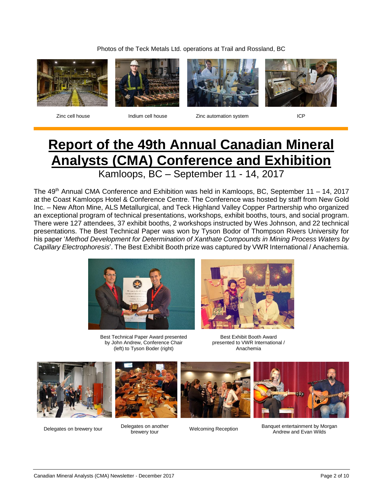Photos of the Teck Metals Ltd. operations at Trail and Rossland, BC









Zinc cell house **Indium cell house** Indian **Zinc automation system** ICP

# **Report of the 49th Annual Canadian Mineral Analysts (CMA) Conference and Exhibition**

Kamloops, BC – September 11 - 14, 2017

The 49<sup>th</sup> Annual CMA Conference and Exhibition was held in Kamloops, BC, September 11 – 14, 2017 at the Coast Kamloops Hotel & Conference Centre. The Conference was hosted by staff from New Gold Inc. – New Afton Mine, ALS Metallurgical, and Teck Highland Valley Copper Partnership who organized an exceptional program of technical presentations, workshops, exhibit booths, tours, and social program. There were 127 attendees, 37 exhibit booths, 2 workshops instructed by Wes Johnson, and 22 technical presentations. The Best Technical Paper was won by Tyson Bodor of Thompson Rivers University for his paper '*Method Development for Determination of Xanthate Compounds in Mining Process Waters by Capillary Electrophoresis*'. The Best Exhibit Booth prize was captured by VWR International / Anachemia.



Best Technical Paper Award presented by John Andrew, Conference Chair (left) to Tyson Boder (right)



Best Exhibit Booth Award presented to VWR International / Anachemia





Delegates on brewery tour<br>brewery tour<br>brewery tour







**brewery Melcoming Reception** Banquet entertainment by Morgan Andrew and Evan Wilds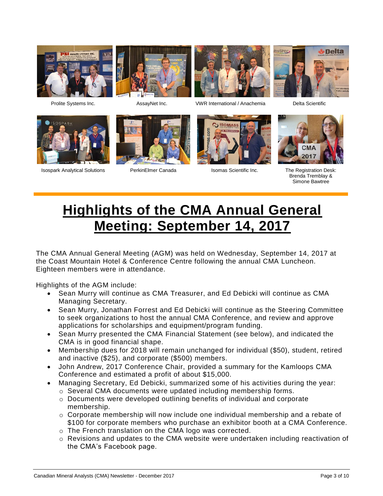



Isospark Analytical Solutions **PerkinElmer Canada** Isomas Scientific Inc. The Registration Desk:





Prolite Systems Inc. AssayNet Inc. VWR International / Anachemia Delta Scientific







Brenda Tremblay & Simone Bawtree

# **Highlights of the CMA Annual General Meeting: September 14, 2017**

The CMA Annual General Meeting (AGM) was held on Wednesday, September 14, 2017 at the Coast Mountain Hotel & Conference Centre following the annual CMA Luncheon. Eighteen members were in attendance.

Highlights of the AGM include:

- Sean Murry will continue as CMA Treasurer, and Ed Debicki will continue as CMA Managing Secretary.
- Sean Murry, Jonathan Forrest and Ed Debicki will continue as the Steering Committee to seek organizations to host the annual CMA Conference, and review and approve applications for scholarships and equipment/program funding.
- Sean Murry presented the CMA Financial Statement (see below), and indicated the CMA is in good financial shape.
- Membership dues for 2018 will remain unchanged for individual (\$50), student, retired and inactive (\$25), and corporate (\$500) members.
- John Andrew, 2017 Conference Chair, provided a summary for the Kamloops CMA Conference and estimated a profit of about \$15,000.
- Managing Secretary, Ed Debicki, summarized some of his activities during the year:  $\circ$  Several CMA documents were updated including membership forms.
	- o Documents were developed outlining benefits of individual and corporate membership.
	- $\circ$  Corporate membership will now include one individual membership and a rebate of \$100 for corporate members who purchase an exhibitor booth at a CMA Conference.
	- o The French translation on the CMA logo was corrected.
	- o Revisions and updates to the CMA website were undertaken including reactivation of the CMA's Facebook page.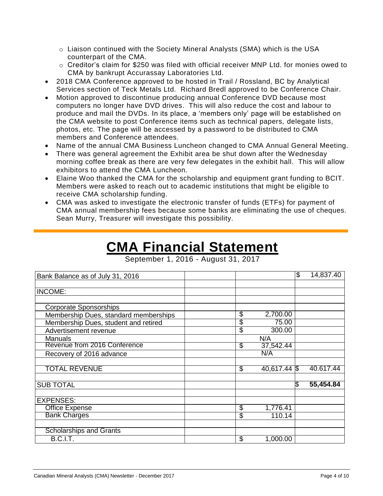- o Liaison continued with the Society Mineral Analysts (SMA) which is the USA counterpart of the CMA.
- o Creditor's claim for \$250 was filed with official receiver MNP Ltd. for monies owed to CMA by bankrupt Accurassay Laboratories Ltd.
- 2018 CMA Conference approved to be hosted in Trail / Rossland, BC by Analytical Services section of Teck Metals Ltd. Richard Bredl approved to be Conference Chair.
- Motion approved to discontinue producing annual Conference DVD because most computers no longer have DVD drives. This will also reduce the cost and labour to produce and mail the DVDs. In its place, a 'members only' page will be established on the CMA website to post Conference items such as technical papers, delegate lists, photos, etc. The page will be accessed by a password to be distributed to CMA members and Conference attendees.
- Name of the annual CMA Business Luncheon changed to CMA Annual General Meeting.
- There was general agreement the Exhibit area be shut down after the Wednesday morning coffee break as there are very few delegates in the exhibit hall. This will allow exhibitors to attend the CMA Luncheon.
- Elaine Woo thanked the CMA for the scholarship and equipment grant funding to BCIT. Members were asked to reach out to academic institutions that might be eligible to receive CMA scholarship funding.
- CMA was asked to investigate the electronic transfer of funds (ETFs) for payment of CMA annual membership fees because some banks are eliminating the use of cheques. Sean Murry, Treasurer will investigate this possibility.

# **CMA Financial Statement**

September 1, 2016 - August 31, 2017

| Bank Balance as of July 31, 2016      |                | \$<br>14,837.40           |
|---------------------------------------|----------------|---------------------------|
| INCOME:                               |                |                           |
|                                       |                |                           |
| <b>Corporate Sponsorships</b>         |                |                           |
| Membership Dues, standard memberships | S<br>2,700.00  |                           |
| Membership Dues, student and retired  | \$             | 75.00                     |
| Advertisement revenue                 | \$             | 300.00                    |
| <b>Manuals</b>                        | N/A            |                           |
| Revenue from 2016 Conference          | S<br>37,542.44 |                           |
| Recovery of 2016 advance              | N/A            |                           |
| <b>TOTAL REVENUE</b>                  | S              | 40,617.44 \$<br>40.617.44 |
| <b>SUB TOTAL</b>                      |                | \$<br>55,454.84           |
|                                       |                |                           |
| <b>EXPENSES:</b>                      |                |                           |
| <b>Office Expense</b>                 | S<br>1,776.41  |                           |
| <b>Bank Charges</b>                   | \$             | 110.14                    |
|                                       |                |                           |
| <b>Scholarships and Grants</b>        |                |                           |
| B.C.I.T.                              | \$<br>1,000.00 |                           |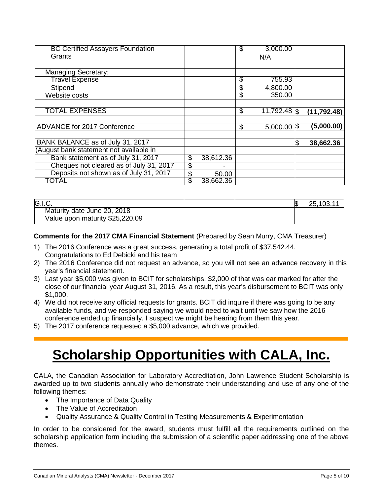| <b>BC Certified Assayers Foundation</b> |                 | \$<br>3,000.00       |              |
|-----------------------------------------|-----------------|----------------------|--------------|
| Grants                                  |                 | N/A                  |              |
|                                         |                 |                      |              |
| <b>Managing Secretary:</b>              |                 |                      |              |
| <b>Travel Expense</b>                   |                 | \$<br>755.93         |              |
| Stipend                                 |                 | \$<br>4,800.00       |              |
| Website costs                           |                 | \$<br>350.00         |              |
|                                         |                 |                      |              |
| <b>TOTAL EXPENSES</b>                   |                 | \$<br>$11,792.48$ \$ | (11, 792.48) |
|                                         |                 |                      |              |
| <b>ADVANCE for 2017 Conference</b>      |                 | \$<br>$5,000.00$ \$  | (5,000.00)   |
|                                         |                 |                      |              |
| BANK BALANCE as of July 31, 2017        |                 |                      | 38,662.36    |
| (August bank statement not available in |                 |                      |              |
| Bank statement as of July 31, 2017      | \$<br>38,612.36 |                      |              |
| Cheques not cleared as of July 31, 2017 | \$              |                      |              |
| Deposits not shown as of July 31, 2017  | \$<br>50.00     |                      |              |
| TOTAL                                   | \$<br>38,662.36 |                      |              |

| G.I.C.                          |  | 25,103.11 |
|---------------------------------|--|-----------|
| Maturity date June 20, 2018     |  |           |
| Value upon maturity \$25,220.09 |  |           |

**Comments for the 2017 CMA Financial Statement** (Prepared by Sean Murry, CMA Treasurer)

- 1) The 2016 Conference was a great success, generating a total profit of \$37,542.44. Congratulations to Ed Debicki and his team
- 2) The 2016 Conference did not request an advance, so you will not see an advance recovery in this year's financial statement.
- 3) Last year \$5,000 was given to BCIT for scholarships. \$2,000 of that was ear marked for after the close of our financial year August 31, 2016. As a result, this year's disbursement to BCIT was only \$1,000.
- 4) We did not receive any official requests for grants. BCIT did inquire if there was going to be any available funds, and we responded saying we would need to wait until we saw how the 2016 conference ended up financially. I suspect we might be hearing from them this year.
- 5) The 2017 conference requested a \$5,000 advance, which we provided.

# **Scholarship Opportunities with CALA, Inc.**

CALA, the Canadian Association for Laboratory Accreditation, John Lawrence Student Scholarship is awarded up to two students annually who demonstrate their understanding and use of any one of the following themes:

- The Importance of Data Quality
- The Value of Accreditation
- Quality Assurance & Quality Control in Testing Measurements & Experimentation

In order to be considered for the award, students must fulfill all the requirements outlined on the scholarship application form including the submission of a scientific paper addressing one of the above themes.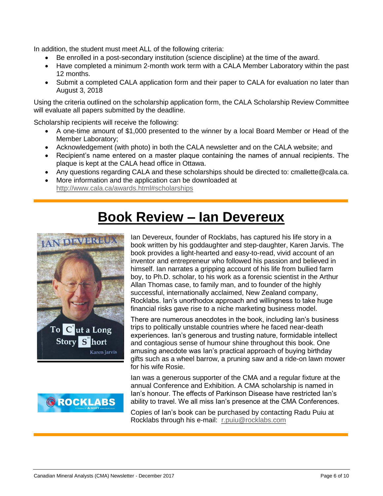In addition, the student must meet ALL of the following criteria:

- Be enrolled in a post-secondary institution (science discipline) at the time of the award.
- Have completed a minimum 2-month work term with a CALA Member Laboratory within the past 12 months.
- Submit a completed CALA application form and their paper to CALA for evaluation no later than August 3, 2018

Using the criteria outlined on the scholarship application form, the CALA Scholarship Review Committee will evaluate all papers submitted by the deadline.

Scholarship recipients will receive the following:

- A one-time amount of \$1,000 presented to the winner by a local Board Member or Head of the Member Laboratory;
- Acknowledgement (with photo) in both the CALA newsletter and on the CALA website; and
- Recipient's name entered on a master plaque containing the names of annual recipients. The plaque is kept at the CALA head office in Ottawa.
- Any questions regarding CALA and these scholarships should be directed to: [cmallette@cala.ca.](mailto:cmallette@cala.ca)
- More information and the application can be downloaded at <http://www.cala.ca/awards.html#scholarships>

### **Book Review – Ian Devereux**





Ian Devereux, founder of Rocklabs, has captured his life story in a book written by his goddaughter and step-daughter, Karen Jarvis. The book provides a light-hearted and easy-to-read, vivid account of an inventor and entrepreneur who followed his passion and believed in himself. Ian narrates a gripping account of his life from bullied farm boy, to Ph.D. scholar, to his work as a forensic scientist in the Arthur Allan Thomas case, to family man, and to founder of the highly successful, internationally acclaimed, New Zealand company, Rocklabs. Ian's unorthodox approach and willingness to take huge financial risks gave rise to a niche marketing business model.

There are numerous anecdotes in the book, including Ian's business trips to politically unstable countries where he faced near-death experiences. Ian's generous and trusting nature, formidable intellect and contagious sense of humour shine throughout this book. One amusing anecdote was Ian's practical approach of buying birthday gifts such as a wheel barrow, a pruning saw and a ride-on lawn mower for his wife Rosie.

Ian was a generous supporter of the CMA and a regular fixture at the annual Conference and Exhibition. A CMA scholarship is named in Ian's honour. The effects of Parkinson Disease have restricted Ian's ability to travel. We all miss Ian's presence at the CMA Conferences.

Copies of Ian's book can be purchased by contacting Radu Puiu at Rocklabs through his e-mail: [r.puiu@rocklabs.com](mailto:r.puiu@rocklabs.com)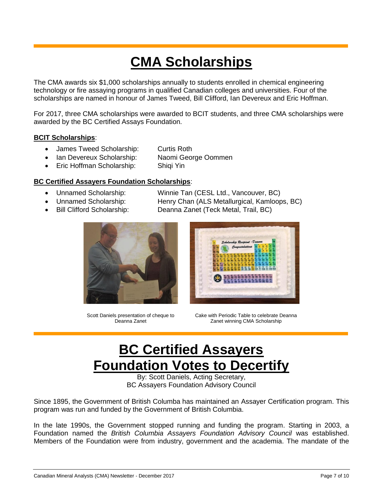# **CMA Scholarships**

The CMA awards six \$1,000 scholarships annually to students enrolled in chemical engineering technology or fire assaying programs in qualified Canadian colleges and universities. Four of the scholarships are named in honour of James Tweed, Bill Clifford, Ian Devereux and Eric Hoffman.

For 2017, three CMA scholarships were awarded to BCIT students, and three CMA scholarships were awarded by the BC Certified Assays Foundation.

#### **BCIT Scholarships**:

- James Tweed Scholarship: Curtis Roth
- Ian Devereux Scholarship: Naomi George Oommen
- Eric Hoffman Scholarship: Shiqi Yin

#### **BC Certified Assayers Foundation Scholarships**:

- Unnamed Scholarship: Winnie Tan (CESL Ltd., Vancouver, BC)
- Unnamed Scholarship: Henry Chan (ALS Metallurgical, Kamloops, BC)
- Bill Clifford Scholarship: Deanna Zanet (Teck Metal, Trail, BC)

Scott Daniels presentation of cheque to Deanna Zanet



Cake with Periodic Table to celebrate Deanna Zanet winning CMA Scholarship

# **BC Certified Assayers Foundation Votes to Decertify**

By: Scott Daniels, Acting Secretary, BC Assayers Foundation Advisory Council

Since 1895, the Government of British Columba has maintained an Assayer Certification program. This program was run and funded by the Government of British Columbia.

In the late 1990s, the Government stopped running and funding the program. Starting in 2003, a Foundation named the *British Columbia Assayers Foundation Advisory Council* was established. Members of the Foundation were from industry, government and the academia. The mandate of the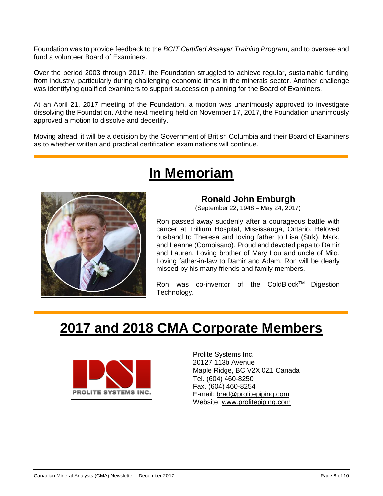Foundation was to provide feedback to the *BCIT Certified Assayer Training Program*, and to oversee and fund a volunteer Board of Examiners.

Over the period 2003 through 2017, the Foundation struggled to achieve regular, sustainable funding from industry, particularly during challenging economic times in the minerals sector. Another challenge was identifying qualified examiners to support succession planning for the Board of Examiners.

At an April 21, 2017 meeting of the Foundation, a motion was unanimously approved to investigate dissolving the Foundation. At the next meeting held on November 17, 2017, the Foundation unanimously approved a motion to dissolve and decertify.

Moving ahead, it will be a decision by the Government of British Columbia and their Board of Examiners as to whether written and practical certification examinations will continue.

# **In Memoriam**



#### **Ronald John Emburgh**

(September 22, 1948 – May 24, 2017)

Ron passed away suddenly after a courageous battle with cancer at Trillium Hospital, Mississauga, Ontario. Beloved husband to Theresa and loving father to Lisa (Strk), Mark, and Leanne (Compisano). Proud and devoted papa to Damir and Lauren. Loving brother of Mary Lou and uncle of Milo. Loving father-in-law to Damir and Adam. Ron will be dearly missed by his many friends and family members.

Ron was co-inventor of the ColdBlock™ Digestion Technology.

### **2017 and 2018 CMA Corporate Members**



Prolite Systems Inc. 20127 113b Avenue Maple Ridge, BC V2X 0Z1 Canada Tel. (604) 460-8250 Fax. (604) 460-8254 E-mail: [brad@prolitepiping.com](mailto:brad@prolitepiping.com) Website: [www.prolitepiping.com](http://www.prolitepiping.com/)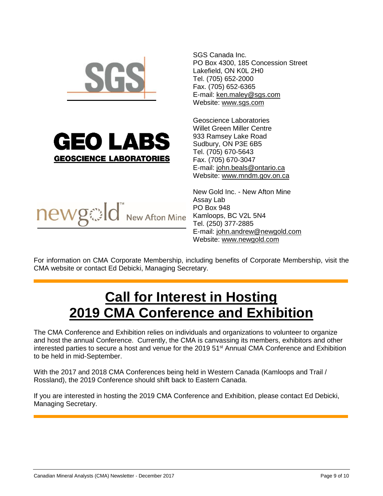

SGS Canada Inc. PO Box 4300, 185 Concession Street Lakefield, ON K0L 2H0 Tel. (705) 652-2000 Fax. (705) 652-6365 E-mail: [ken.maley@sgs.com](mailto:ken.maley@sgs.com) Website: [www.sgs.com](http://www.sgs.com/)



Geoscience Laboratories Willet Green Miller Centre 933 Ramsey Lake Road Sudbury, ON P3E 6B5 Tel. (705) 670-5643 Fax. (705) 670-3047 E-mail: [john.beals@ontario.ca](mailto:john.beals@ontario.ca) Website: [www.mndm.gov.on.ca](http://www.mndm.gov.on.ca/)

New Gold Inc. - New Afton Mine Assay Lab PO Box 948 Kamloops, BC V2L 5N4 Tel. (250) 377-2885 E-mail: [john.andrew@newgold.com](mailto:john.andrew@newgold.com) Website: [www.newgold.com](http://www.newgold.com/)

For information on CMA Corporate Membership, including benefits of Corporate Membership, visit the CMA website or contact Ed Debicki, Managing Secretary.

# **Call for Interest in Hosting 2019 CMA Conference and Exhibition**

The CMA Conference and Exhibition relies on individuals and organizations to volunteer to organize and host the annual Conference. Currently, the CMA is canvassing its members, exhibitors and other interested parties to secure a host and venue for the 2019 51<sup>st</sup> Annual CMA Conference and Exhibition to be held in mid-September.

With the 2017 and 2018 CMA Conferences being held in Western Canada (Kamloops and Trail / Rossland), the 2019 Conference should shift back to Eastern Canada.

If you are interested in hosting the 2019 CMA Conference and Exhibition, please contact Ed Debicki, Managing Secretary.

Canadian Mineral Analysts (CMA) Newsletter - December 2017 Page 9 of 10